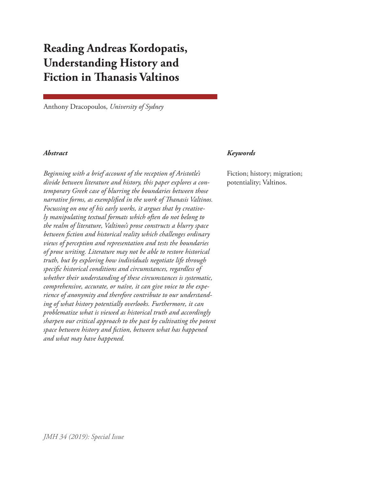# **Reading Andreas Kordopatis, Understanding History and Fiction in Thanasis Valtinos**

Anthony Dracopoulos, *University of Sydney*

*Beginning with a brief account of the reception of Aristotle's divide between literature and history, this paper explores a contemporary Greek case of blurring the boundaries between those narrative forms, as exemplified in the work of Thanasis Valtinos. Focussing on one of his early works, it argues that by creatively manipulating textual formats which often do not belong to the realm of literature, Valtinos's prose constructs a blurry space between fiction and historical reality which challenges ordinary views of perception and representation and tests the boundaries of prose writing. Literature may not be able to restore historical truth, but by exploring how individuals negotiate life through specific historical conditions and circumstances, regardless of whether their understanding of these circumstances is systematic, comprehensive, accurate, or naïve, it can give voice to the experience of anonymity and therefore contribute to our understanding of what history potentially overlooks. Furthermore, it can problematize what is viewed as historical truth and accordingly sharpen our critical approach to the past by cultivating the potent space between history and fiction, between what has happened and what may have happened.* 

#### *Abstract Keywords*

Fiction; history; migration; potentiality; Valtinos.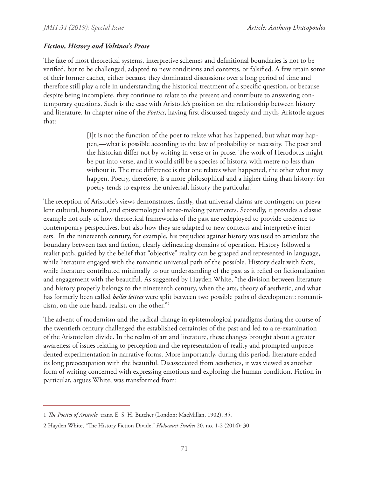### *Fiction, History and Valtinos's Prose*

The fate of most theoretical systems, interpretive schemes and definitional boundaries is not to be verified, but to be challenged, adapted to new conditions and contexts, or falsified. A few retain some of their former cachet, either because they dominated discussions over a long period of time and therefore still play a role in understanding the historical treatment of a specific question, or because despite being incomplete, they continue to relate to the present and contribute to answering contemporary questions. Such is the case with Aristotle's position on the relationship between history and literature. In chapter nine of the *Poetics*, having first discussed tragedy and myth, Aristotle argues that:

> [I]t is not the function of the poet to relate what has happened, but what may happen,—what is possible according to the law of probability or necessity. The poet and the historian differ not by writing in verse or in prose. The work of Herodotus might be put into verse, and it would still be a species of history, with metre no less than without it. The true difference is that one relates what happened, the other what may happen. Poetry, therefore, is a more philosophical and a higher thing than history: for poetry tends to express the universal, history the particular.<sup>1</sup>

The reception of Aristotle's views demonstrates, firstly, that universal claims are contingent on prevalent cultural, historical, and epistemological sense-making parameters. Secondly, it provides a classic example not only of how theoretical frameworks of the past are redeployed to provide credence to contemporary perspectives, but also how they are adapted to new contexts and interpretive interests. In the nineteenth century, for example, his prejudice against history was used to articulate the boundary between fact and fiction, clearly delineating domains of operation. History followed a realist path, guided by the belief that "objective" reality can be grasped and represented in language, while literature engaged with the romantic universal path of the possible. History dealt with facts, while literature contributed minimally to our understanding of the past as it relied on fictionalization and engagement with the beautiful. As suggested by Hayden White, "the division between literature and history properly belongs to the nineteenth century, when the arts, theory of aesthetic, and what has formerly been called *belles lettres* were split between two possible paths of development: romanticism, on the one hand, realist, on the other."2

The advent of modernism and the radical change in epistemological paradigms during the course of the twentieth century challenged the established certainties of the past and led to a re-examination of the Aristotelian divide. In the realm of art and literature, these changes brought about a greater awareness of issues relating to perception and the representation of reality and prompted unprecedented experimentation in narrative forms. More importantly, during this period, literature ended its long preoccupation with the beautiful. Disassociated from aesthetics, it was viewed as another form of writing concerned with expressing emotions and exploring the human condition. Fiction in particular, argues White, was transformed from:

<sup>1</sup> *The Poetics of Aristotle,* trans. E. S. H. Butcher (London: MacMillan, 1902), 35.

<sup>2</sup> Hayden White, "The History Fiction Divide," *Holocaust Studies* 20, no. 1-2 (2014): 30.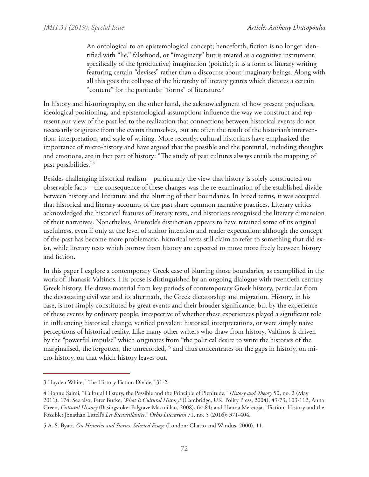An ontological to an epistemological concept; henceforth, fiction is no longer identified with "lie," falsehood, or "imaginary" but is treated as a cognitive instrument, specifically of the (productive) imagination (poietic); it is a form of literary writing featuring certain "devises" rather than a discourse about imaginary beings. Along with all this goes the collapse of the hierarchy of literary genres which dictates a certain "content" for the particular "forms" of literature.3

In history and historiography, on the other hand, the acknowledgment of how present prejudices, ideological positioning, and epistemological assumptions influence the way we construct and represent our view of the past led to the realization that connections between historical events do not necessarily originate from the events themselves, but are often the result of the historian's intervention, interpretation, and style of writing. More recently, cultural historians have emphasized the importance of micro-history and have argued that the possible and the potential, including thoughts and emotions, are in fact part of history: "The study of past cultures always entails the mapping of past possibilities."4

Besides challenging historical realism—particularly the view that history is solely constructed on observable facts—the consequence of these changes was the re-examination of the established divide between history and literature and the blurring of their boundaries. In broad terms, it was accepted that historical and literary accounts of the past share common narrative practices. Literary critics acknowledged the historical features of literary texts, and historians recognised the literary dimension of their narratives. Nonetheless, Aristotle's distinction appears to have retained some of its original usefulness, even if only at the level of author intention and reader expectation: although the concept of the past has become more problematic, historical texts still claim to refer to something that did exist, while literary texts which borrow from history are expected to move more freely between history and fiction.

In this paper I explore a contemporary Greek case of blurring those boundaries, as exemplified in the work of Thanasis Valtinos. His prose is distinguished by an ongoing dialogue with twentieth century Greek history. He draws material from key periods of contemporary Greek history, particular from the devastating civil war and its aftermath, the Greek dictatorship and migration. History, in his case, is not simply constituted by great events and their broader significance, but by the experience of these events by ordinary people, irrespective of whether these experiences played a significant role in influencing historical change, verified prevalent historical interpretations, or were simply naive perceptions of historical reality. Like many other writers who draw from history, Valtinos is driven by the "powerful impulse" which originates from "the political desire to write the histories of the marginalised, the forgotten, the unrecorded,"5 and thus concentrates on the gaps in history, on micro-history, on that which history leaves out.

<sup>3</sup> Hayden White, "The History Fiction Divide," 31-2.

<sup>4</sup> Hannu Salmi, "Cultural History, the Possible and the Principle of Plenitude," *History and Theory* 50, no. 2 (May 2011): 174. See also, Peter Burke, *What Is Cultural History?* (Cambridge, UK: Polity Press, 2004), 49-73, 103-112; Anna Green, *Cultural History* (Basingstoke: Palgrave Macmillan, 2008), 64-81; and Hanna Meretoja, "Fiction, History and the Possible: Jonathan Littell's *Les Bienveillantes*," *Orbis Literarum* 71, no. 5 (2016): 371-404.

<sup>5</sup> A. S. Byatt, *On Histories and Stories: Selected Essays* (London: Chatto and Windus, 2000), 11.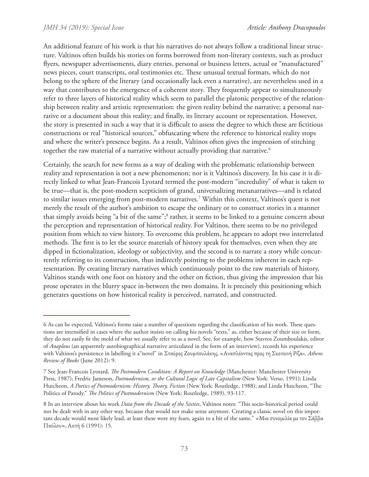An additional feature of his work is that his narratives do not always follow a traditional linear structure. Valtinos often builds his stories on forms borrowed from non-literary contexts, such as product flyers, newspaper advertisements, diary entries, personal or business letters, actual or "manufactured" news pieces, court transcripts, oral testimonies etc. These unusual textual formats, which do not belong to the sphere of the literary (and occasionally lack even a narrative), are nevertheless used in a way that contributes to the emergence of a coherent story. They frequently appear to simultaneously refer to three layers of historical reality which seem to parallel the platonic perspective of the relationship between reality and artistic representation: the given reality behind the narrative; a personal narrative or a document about this reality; and finally, its literary account or representation. However, the story is presented in such a way that it is difficult to assess the degree to which these are fictitious constructions or real "historical sources," obfuscating where the reference to historical reality stops and where the writer's presence begins. As a result, Valtinos often gives the impression of stitching together the raw material of a narrative without actually providing that narrative.<sup>6</sup>

Certainly, the search for new forms as a way of dealing with the problematic relationship between reality and representation is not a new phenomenon; nor is it Valtinos's discovery. In his case it is directly linked to what Jean-Francois Lyotard termed the post-modern "incredulity" of what is taken to be true—that is, the post-modern scepticism of grand, universalizing metanarratives—and is related to similar issues emerging from post-modern narratives.7 Within this context, Valtinos's quest is not merely the result of the author's ambition to escape the ordinary or to construct stories in a manner that simply avoids being "a bit of the same";<sup>8</sup> rather, it seems to be linked to a genuine concern about the perception and representation of historical reality. For Valtinos, there seems to be no privileged position from which to view history. To overcome this problem, he appears to adopt two interrelated methods. The first is to let the source materials of history speak for themselves, even when they are dipped in fictionalization, ideology or subjectivity, and the second is to narrate a story while concurrently referring to its construction, thus indirectly pointing to the problems inherent in each representation. By creating literary narratives which continuously point to the raw materials of history, Valtinos stands with one foot on history and the other on fiction, thus giving the impression that his prose operates in the blurry space in-between the two domains. It is precisely this positioning which generates questions on how historical reality is perceived, narrated, and constructed.

<sup>6</sup> As can be expected, Valtinos's forms raise a number of questions regarding the classification of his work. These questions are intensified in cases where the author insists on calling his novels "texts," as, either because of their size or form, they do not easily fit the mold of what we usually refer to as a novel. See, for example, how Stavros Zoumboulakis, editor of *Anaplous* (an apparently autobiographical narrative articulated in the form of an interview), records his experience with Valtinos's persistence in labelling it a"novel" in Σταύρος Ζουμπουλάκης, «Αναπλέοντας προς τη Σκοτεινή Ρίζα», *Athens Review of Books* (June 2012): 9.

<sup>7</sup> See Jean-Francois Lyotard, *The Postmodern Condition: A Report on Knowledge* (Manchester: Manchester University Press, 1987); Fredric Jameson, *Postmodernism, or the Cultural Logic of Late Capitalism* (New York: Verso, 1991); Linda Hutcheon, *A Poetics of Postmodernism: History, Theory, Fiction* (New York: Routledge, 1988); and Linda Hutcheon, "The Politics of Parody," *The Politics of Postmodernism* (New York: Routledge, 1989), 93-117.

<sup>8</sup> In an interview about his work *Data from the Decade of the Sixties*, Valtinos notes: "This socio-historical period could not be dealt with in any other way, because that would not make sense anymore. Creating a classic novel on this important decade would most likely lead, at least these were my fears, again to a bit of the same." «Μια συνομιλία με τον Σάββα Παύλου», Ακτή 6 (1991): 15.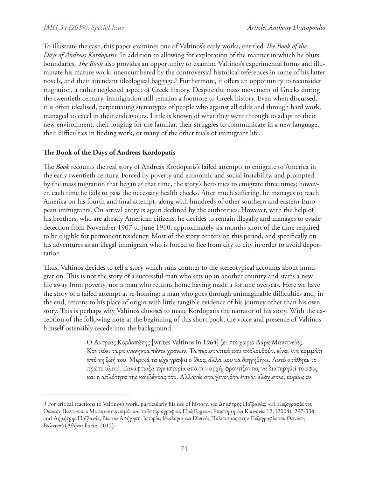To illustrate the case, this paper examines one of Valtinos's early works, entitled *The Book of the Days of Andreas Kordopatis*. In addition to allowing for exploration of the manner in which he blurs boundaries, *The Book* also provides an opportunity to examine Valtinos's experimental forms and illuminate his mature work, unencumbered by the controversial historical references in some of his latter novels, and their attendant ideological baggage.9 Furthermore, it offers an opportunity to reconsider migration, a rather neglected aspect of Greek history. Despite the mass movement of Greeks during the twentieth century, immigration still remains a footnote to Greek history. Even when discussed, it is often idealised, perpetuating stereotypes of people who against all odds and through hard work, managed to excel in their endeavours. Little is known of what they went through to adapt to their new environment, their longing for the familiar, their struggles to communicate in a new language, their difficulties in finding work, or many of the other trials of immigrant life.

## **The Book of the Days of Andreas Kordopatis**

The *Book* recounts the real story of Andreas Kordopatis's failed attempts to emigrate to America in the early twentieth century. Forced by poverty and economic and social instability, and prompted by the mass migration that began at that time, the story's hero tries to emigrate three times; however, each time he fails to pass the necessary health checks. After much suffering, he manages to reach America on his fourth and final attempt, along with hundreds of other southern and eastern European immigrants. On arrival entry is again declined by the authorities. However, with the help of his brothers, who are already American citizens, he decides to remain illegally and manages to evade detection from November 1907 to June 1910, approximately six months short of the time required to be eligible for permanent residency. Most of the story centers on this period, and specifically on his adventures as an illegal immigrant who is forced to flee from city to city in order to avoid deportation.

Thus, Valtinos decides to tell a story which runs counter to the stereotypical accounts about immigration. This is not the story of a successful man who sets up in another country and starts a new life away from poverty, nor a man who returns home having made a fortune overseas. Here we have the story of a failed attempt at re-homing: a man who goes through unimaginable difficulties and, in the end, returns to his place of origin with little tangible evidence of his journey other than his own story. This is perhaps why Valtinos chooses to make Kordopatis the narrator of his story. With the exception of the following note at the beginning of this short book, the voice and presence of Valtinos himself ostensibly recede into the background:

> Ο Αντρέας Κορδοπάτης [writes Valtinos in 1964] ζει στο χωριό Δάρα Μαντινείας. Κοντεύει τώρα ενενήντα πέντε χρόνων. Τα περιστατικά που ακολουθούν, είναι ένα κομμάτι από τη ζωή του. Μερικά τα είχε γράψει ο ίδιος, άλλα μου τα διηγήθηκε. Αυτό στάθηκε το πρώτο υλικό. Ξανάφτιαξα την ιστορία από την αρχή, φροντίζοντας να διατηρηθεί το ύφος και η απλότητα της κουβέντας του. Αλλαγές στα γεγονότα έγιναν ελάχιστες, κυρίως σε

<sup>9</sup> For critical reactions to Valtinos's work, particularly his use of history, see Δημήτρης Παϊβανάς, «Η Πεζογραφία του Θανάση Βαλτινού, ο Μεταμοντερνισμός και το Ιστοριογραφικό Πρόβλημα», Επιστήμη και Κοινωνία 12, (2004): 297-334; and Δημήτρης Παϊβανάς, Βία και Αφήγηση. Ιστορία, Ιδεολογία και Εθνικός Πολιτισμός στην Πεζογραφία του Θανάση Βαλτινού (Αθήνα: Εστία, 2012).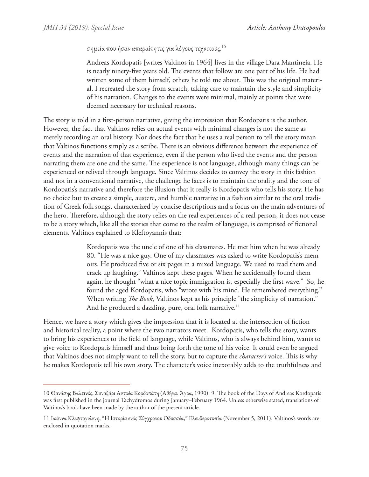#### σημεία που ήσαν απαραίτητες για λόγους τεχνικούς. $^{10}$

Andreas Kordopatis [writes Valtinos in 1964] lives in the village Dara Mantineia. He is nearly ninety-five years old. The events that follow are one part of his life. He had written some of them himself, others he told me about. This was the original material. I recreated the story from scratch, taking care to maintain the style and simplicity of his narration. Changes to the events were minimal, mainly at points that were deemed necessary for technical reasons.

The story is told in a first-person narrative, giving the impression that Kordopatis is the author. However, the fact that Valtinos relies on actual events with minimal changes is not the same as merely recording an oral history. Nor does the fact that he uses a real person to tell the story mean that Valtinos functions simply as a scribe. There is an obvious difference between the experience of events and the narration of that experience, even if the person who lived the events and the person narrating them are one and the same. The experience is not language, although many things can be experienced or relived through language. Since Valtinos decides to convey the story in this fashion and not in a conventional narrative, the challenge he faces is to maintain the orality and the tone of Kordopatis's narrative and therefore the illusion that it really is Kordopatis who tells his story. He has no choice but to create a simple, austere, and humble narrative in a fashion similar to the oral tradition of Greek folk songs, characterized by concise descriptions and a focus on the main adventures of the hero. Therefore, although the story relies on the real experiences of a real person, it does not cease to be a story which, like all the stories that come to the realm of language, is comprised of fictional elements. Valtinos explained to Kleftoyannis that:

> Kordopatis was the uncle of one of his classmates. He met him when he was already 80. "He was a nice guy. One of my classmates was asked to write Kordopatis's memoirs. He produced five or six pages in a mixed language. We used to read them and crack up laughing." Valtinos kept these pages. When he accidentally found them again, he thought "what a nice topic immigration is, especially the first wave." So, he found the aged Kordopatis, who "wrote with his mind. He remembered everything." When writing *The Book*, Valtinos kept as his principle "the simplicity of narration." And he produced a dazzling, pure, oral folk narrative.<sup>11</sup>

Hence, we have a story which gives the impression that it is located at the intersection of fiction and historical reality, a point where the two narrators meet. Kordopatis, who tells the story, wants to bring his experiences to the field of language, while Valtinos, who is always behind him, wants to give voice to Kordopatis himself and thus bring forth the tone of his voice. It could even be argued that Valtinos does not simply want to tell the story, but to capture the *character's* voice. This is why he makes Kordopatis tell his own story. The character's voice inexorably adds to the truthfulness and

<sup>10</sup> Θανάσης Βαλτινός, Συναξάρι Αντρέα Κορδοπάτη (Αθήνα: Άγρα, 1990): 9. The book of the Days of Andreas Kordopatis was first published in the journal Tachydromos during January–February 1964. Unless otherwise stated, translations of Valtinos's book have been made by the author of the present article.

<sup>11</sup> Ιωάννα Κλεφτογιάννη, "Η Ιστορία ενός Σύγχρονου Οδυσσέα," Ελευθεροτυπία (November 5, 2011). Valtinos's words are enclosed in quotation marks.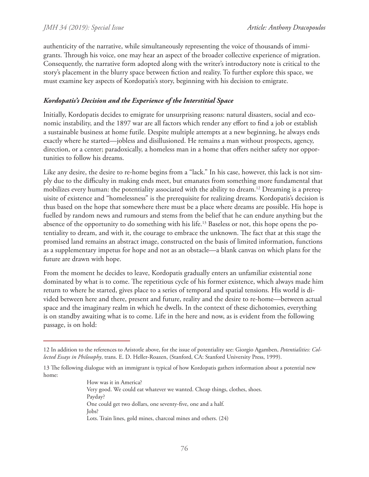authenticity of the narrative, while simultaneously representing the voice of thousands of immigrants. Through his voice, one may hear an aspect of the broader collective experience of migration. Consequently, the narrative form adopted along with the writer's introductory note is critical to the story's placement in the blurry space between fiction and reality. To further explore this space, we must examine key aspects of Kordopatis's story, beginning with his decision to emigrate.

### *Kordopatis's Decision and the Experience of the Interstitial Space*

Initially, Kordopatis decides to emigrate for unsurprising reasons: natural disasters, social and economic instability, and the 1897 war are all factors which render any effort to find a job or establish a sustainable business at home futile. Despite multiple attempts at a new beginning, he always ends exactly where he started—jobless and disillusioned. He remains a man without prospects, agency, direction, or a center; paradoxically, a homeless man in a home that offers neither safety nor opportunities to follow his dreams.

Like any desire, the desire to re-home begins from a "lack." In his case, however, this lack is not simply due to the difficulty in making ends meet, but emanates from something more fundamental that mobilizes every human: the potentiality associated with the ability to dream.<sup>12</sup> Dreaming is a prerequisite of existence and "homelessness" is the prerequisite for realizing dreams. Kordopatis's decision is thus based on the hope that somewhere there must be a place where dreams are possible. His hope is fuelled by random news and rumours and stems from the belief that he can endure anything but the absence of the opportunity to do something with his life.<sup>13</sup> Baseless or not, this hope opens the potentiality to dream, and with it, the courage to embrace the unknown. The fact that at this stage the promised land remains an abstract image, constructed on the basis of limited information, functions as a supplementary impetus for hope and not as an obstacle—a blank canvas on which plans for the future are drawn with hope.

From the moment he decides to leave, Kordopatis gradually enters an unfamiliar existential zone dominated by what is to come. The repetitious cycle of his former existence, which always made him return to where he started, gives place to a series of temporal and spatial tensions. His world is divided between here and there, present and future, reality and the desire to re-home—between actual space and the imaginary realm in which he dwells. In the context of these dichotomies, everything is on standby awaiting what is to come. Life in the here and now, as is evident from the following passage, is on hold:

How was it in America? Very good. We could eat whatever we wanted. Cheap things, clothes, shoes. Payday? One could get two dollars, one seventy-five, one and a half. Jobs? Lots. Train lines, gold mines, charcoal mines and others. (24)

<sup>12</sup> In addition to the references to Aristotle above, for the issue of potentiality see: Giorgio Agamben, *Potentialities: Collected Essays in Philosophy*, trans. E. D. Heller-Roazen, (Stanford, CA: Stanford University Press, 1999).

<sup>13</sup> The following dialogue with an immigrant is typical of how Kordopatis gathers information about a potential new home: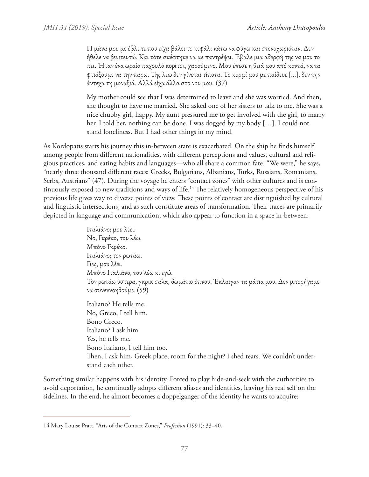Η μάνα μου με έβλεπε που είχα βάλει το κεφάλι κάτω να φύγω και στενοχωριόταν. Δεν ήθελε να ξενιτευτώ. Και τότε σκέφτηκε να με παντρέψει. Έβαλε μια αδερφή της να μου το πει. Ήταν ένα ωραίο παχουλό κορίτσι, χαρούμενο. Μου έπεσε η θειά μου από κοντά, να τα φτιάξουμε να την πάρω. Της λέω δεν γίνεται τίποτα. Το κορμί μου με παίδευε […]. δεν την άντεχα τη μοναξιά. Αλλά είχα άλλα στο νου μου. (37)

My mother could see that I was determined to leave and she was worried. And then, she thought to have me married. She asked one of her sisters to talk to me. She was a nice chubby girl, happy. My aunt pressured me to get involved with the girl, to marry her. I told her, nothing can be done. I was dogged by my body […]. I could not stand loneliness. But I had other things in my mind.

As Kordopatis starts his journey this in-between state is exacerbated. On the ship he finds himself among people from different nationalities, with different perceptions and values, cultural and religious practices, and eating habits and languages—who all share a common fate. "We were," he says, "nearly three thousand different races: Greeks, Bulgarians, Albanians, Turks, Russians, Romanians, Serbs, Austrians" (47). During the voyage he enters "contact zones" with other cultures and is continuously exposed to new traditions and ways of life.<sup>14</sup> The relatively homogeneous perspective of his previous life gives way to diverse points of view. These points of contact are distinguished by cultural and linguistic intersections, and as such constitute areas of transformation. Their traces are primarily depicted in language and communication, which also appear to function in a space in-between:

> Ιταλιάνο; μου λέει. Νο, Γκρέκο, του λέω. Μπόνο Γκρέκο. Ιταλιάνο; τον ρωτάω. Γιες, μου λέει. Μπόνο Ιταλιάνο, του λέω κι εγώ. Τον ρωτάω ύστερα, γκρικ σάλα, δωμάτιο ύπνου. Έκλαιγαν τα μάτια μου. Δεν μπορήγαμε να συνεννοηθούμε. (59)

Italiano? He tells me. No, Greco, I tell him. Bono Greco. Italiano? I ask him. Yes, he tells me. Bono Italiano, I tell him too. Then, I ask him, Greek place, room for the night? I shed tears. We couldn't understand each other.

Something similar happens with his identity. Forced to play hide-and-seek with the authorities to avoid deportation, he continually adopts different aliases and identities, leaving his real self on the sidelines. In the end, he almost becomes a doppelganger of the identity he wants to acquire:

<sup>14</sup> Mary Louise Pratt, "Arts of the Contact Zones," *Profession* (1991): 33–40.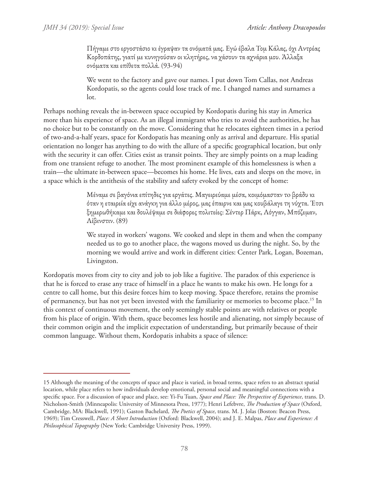Πήγαμε στο εργοστάσιο κι έγραψαν τα ονόματά μας. Εγώ έβαλα Τομ Κάλας, όχι Αντρέας Κορδοπάτης, γιατί με κυνηγούσαν οι κλητήρες, να χάσουν τα αχνάρια μου. Άλλαξα ονόματα και επίθετα πολλά. (93-94)

We went to the factory and gave our names. I put down Tom Callas, not Andreas Kordopatis, so the agents could lose track of me. I changed names and surnames a lot.

Perhaps nothing reveals the in-between space occupied by Kordopatis during his stay in America more than his experience of space. As an illegal immigrant who tries to avoid the authorities, he has no choice but to be constantly on the move. Considering that he relocates eighteen times in a period of two-and-a-half years, space for Kordopatis has meaning only as arrival and departure. His spatial orientation no longer has anything to do with the allure of a specific geographical location, but only with the security it can offer. Cities exist as transit points. They are simply points on a map leading from one transient refuge to another. The most prominent example of this homelessness is when a train—the ultimate in-between space—becomes his home. He lives, eats and sleeps on the move, in a space which is the antithesis of the stability and safety evoked by the concept of home:

> Μέναμε σε βαγόνια επίτηδες για εργάτες. Μαγειρεύαμε μέσα, κοιμόμασταν τo βράδυ κι όταν η εταιρεία είχε ανάγκη για άλλο μέρος, μας έπαιρνε και μας κουβάλαγε τη νύχτα. Έτσι ξημερωθήκαμε και δουλέψαμε σε διάφορες πολιτείες: Σέντερ Πάρκ, Λόγγαν, Μπόζεμαν, Λίβινστιν. (89)

> We stayed in workers' wagons. We cooked and slept in them and when the company needed us to go to another place, the wagons moved us during the night. So, by the morning we would arrive and work in different cities: Center Park, Logan, Bozeman, Livingston.

Kordopatis moves from city to city and job to job like a fugitive. The paradox of this experience is that he is forced to erase any trace of himself in a place he wants to make his own. He longs for a centre to call home, but this desire forces him to keep moving. Space therefore, retains the promise of permanency, but has not yet been invested with the familiarity or memories to become place.15 In this context of continuous movement, the only seemingly stable points are with relatives or people from his place of origin. With them, space becomes less hostile and alienating, not simply because of their common origin and the implicit expectation of understanding, but primarily because of their common language. Without them, Kordopatis inhabits a space of silence:

<sup>15</sup> Although the meaning of the concepts of space and place is varied, in broad terms, space refers to an abstract spatial location, while place refers to how individuals develop emotional, personal social and meaningful connections with a specific space. For a discussion of space and place, see: Yi-Fu Tuan, *Space and Place: The Perspective of Experience*, trans. D. Nicholson-Smith (Minneapolis: University of Minnesota Press, 1977); Henri Lefebvre, *The Production of Space* (Oxford, Cambridge, MA: Blackwell, 1991); Gaston Bachelard, *The Poetics of Space*, trans. M. J. Jolas (Boston: Beacon Press, 1969); Tim Cresswell, *Place: A Short Introduction* (Oxford: Blackwell, 2004); and J. E. Malpas, *Place and Experience: A Philosophical Topography* (New York: Cambridge University Press, 1999).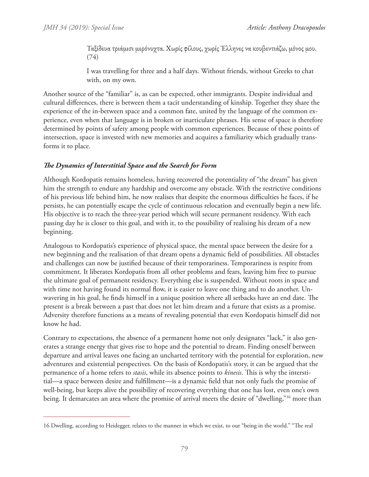Ταξίδευα τριάμισι μερόνυχτα. Χωρίς φίλους, χωρίς Έλληνες να κουβεντιάζω, μόνος μου. (74)

I was travelling for three and a half days. Without friends, without Greeks to chat with, on my own.

Another source of the "familiar" is, as can be expected, other immigrants. Despite individual and cultural differences, there is between them a tacit understanding of kinship. Together they share the experience of the in-between space and a common fate, united by the language of the common experience, even when that language is in broken or inarticulate phrases. His sense of space is therefore determined by points of safety among people with common experiences. Because of these points of intersection, space is invested with new memories and acquires a familiarity which gradually transforms it to place.

# *The Dynamics of Interstitial Space and the Search for Form*

Although Kordopatis remains homeless, having recovered the potentiality of "the dream" has given him the strength to endure any hardship and overcome any obstacle. With the restrictive conditions of his previous life behind him, he now realises that despite the enormous difficulties he faces, if he persists, he can potentially escape the cycle of continuous relocation and eventually begin a new life. His objective is to reach the three-year period which will secure permanent residency. With each passing day he is closer to this goal, and with it, to the possibility of realising his dream of a new beginning.

Analogous to Kordopatis's experience of physical space, the mental space between the desire for a new beginning and the realisation of that dream opens a dynamic field of possibilities. All obstacles and challenges can now be justified because of their temporariness. Temporariness is respite from commitment. It liberates Kordopatis from all other problems and fears, leaving him free to pursue the ultimate goal of permanent residency. Everything else is suspended. Without roots in space and with time not having found its normal flow, it is easier to leave one thing and to do another. Unwavering in his goal, he finds himself in a unique position where all setbacks have an end date. The present is a break between a past that does not let him dream and a future that exists as a promise. Adversity therefore functions as a means of revealing potential that even Kordopatis himself did not know he had.

Contrary to expectations, the absence of a permanent home not only designates "lack," it also generates a strange energy that gives rise to hope and the potential to dream. Finding oneself between departure and arrival leaves one facing an uncharted territory with the potential for exploration, new adventures and existential perspectives. On the basis of Kordopatis's story, it can be argued that the permanence of a home refers to *stasis*, while its absence points to *kinesis*. This is why the interstitial—a space between desire and fulfillment—is a dynamic field that not only fuels the promise of well-being, but keeps alive the possibility of recovering everything that one has lost, even one's own being. It demarcates an area where the promise of arrival meets the desire of "dwelling,"16 more than

<sup>16</sup> Dwelling, according to Heidegger, relates to the manner in which we exist, to our "being in the world." "The real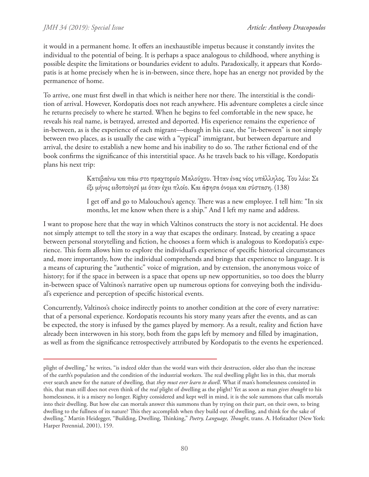it would in a permanent home. It offers an inexhaustible impetus because it constantly invites the individual to the potential of being. It is perhaps a space analogous to childhood, where anything is possible despite the limitations or boundaries evident to adults. Paradoxically, it appears that Kordopatis is at home precisely when he is in-between, since there, hope has an energy not provided by the permanence of home.

To arrive, one must first dwell in that which is neither here nor there. The interstitial is the condition of arrival. However, Kordopatis does not reach anywhere. His adventure completes a circle since he returns precisely to where he started. When he begins to feel comfortable in the new space, he reveals his real name, is betrayed, arrested and deported. His experience remains the experience of in-between, as is the experience of each migrant—though in his case, the "in-between" is not simply between two places, as is usually the case with a "typical" immigrant, but between departure and arrival, the desire to establish a new home and his inability to do so. The rather fictional end of the book confirms the significance of this interstitial space. As he travels back to his village, Kordopatis plans his next trip:

> Κατεβαίνω και πάω στο πραχτορείο Μαλούχου. Ήταν ένας νέος υπάλληλος. Του λέω: Σε έξι μήνες ειδοποίησέ με όταν έχει πλοίο. Και άφησα όνομα και σύσταση. (138)

I get off and go to Malouchou's agency. There was a new employee. I tell him: "In six months, let me know when there is a ship." And I left my name and address.

I want to propose here that the way in which Valtinos constructs the story is not accidental. He does not simply attempt to tell the story in a way that escapes the ordinary. Instead, by creating a space between personal storytelling and fiction, he chooses a form which is analogous to Kordopatis's experience. This form allows him to explore the individual's experience of specific historical circumstances and, more importantly, how the individual comprehends and brings that experience to language. It is a means of capturing the "authentic" voice of migration, and by extension, the anonymous voice of history; for if the space in between is a space that opens up new opportunities, so too does the blurry in-between space of Valtinos's narrative open up numerous options for conveying both the individual's experience and perception of specific historical events.

Concurrently, Valtinos's choice indirectly points to another condition at the core of every narrative: that of a personal experience. Kordopatis recounts his story many years after the events, and as can be expected, the story is infused by the games played by memory. As a result, reality and fiction have already been interwoven in his story, both from the gaps left by memory and filled by imagination, as well as from the significance retrospectively attributed by Kordopatis to the events he experienced.

plight of dwelling," he writes, "is indeed older than the world wars with their destruction, older also than the increase of the earth's population and the condition of the industrial workers. The real dwelling plight lies in this, that mortals ever search anew for the nature of dwelling, that *they must ever learn to dwell*. What if man's homelessness consisted in this, that man still does not even think of the *real* plight of dwelling as the plight? Yet as soon as man *gives thought* to his homelessness, it is a misery no longer. Righty considered and kept well in mind, it is the sole summons that calls mortals into their dwelling. But how else can mortals answer this summons than by trying on their part, on their own, to bring dwelling to the fullness of its nature? This they accomplish when they build out of dwelling, and think for the sake of dwelling." Martin Heidegger, "Building, Dwelling, Thinking," *Poetry, Language, Thought*, trans. A. Hofstadter (New York: Harper Perennial, 2001), 159.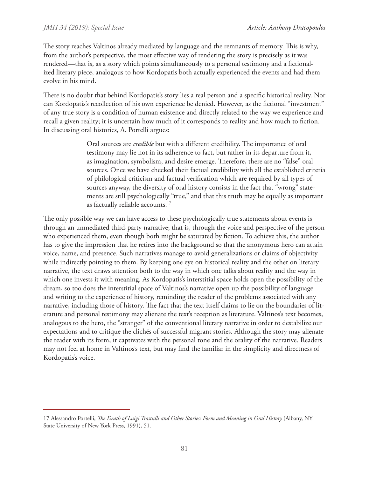The story reaches Valtinos already mediated by language and the remnants of memory. This is why, from the author's perspective, the most effective way of rendering the story is precisely as it was rendered—that is, as a story which points simultaneously to a personal testimony and a fictionalized literary piece, analogous to how Kordopatis both actually experienced the events and had them evolve in his mind.

There is no doubt that behind Kordopatis's story lies a real person and a specific historical reality. Nor can Kordopatis's recollection of his own experience be denied. However, as the fictional "investment" of any true story is a condition of human existence and directly related to the way we experience and recall a given reality; it is uncertain how much of it corresponds to reality and how much to fiction. In discussing oral histories, A. Portelli argues:

> Oral sources are *credible* but with a different credibility. The importance of oral testimony may lie not in its adherence to fact, but rather in its departure from it, as imagination, symbolism, and desire emerge. Therefore, there are no "false" oral sources. Once we have checked their factual credibility with all the established criteria of philological criticism and factual verification which are required by all types of sources anyway, the diversity of oral history consists in the fact that "wrong" statements are still psychologically "true," and that this truth may be equally as important as factually reliable accounts.<sup>17</sup>

The only possible way we can have access to these psychologically true statements about events is through an unmediated third-party narrative; that is, through the voice and perspective of the person who experienced them, even though both might be saturated by fiction. To achieve this, the author has to give the impression that he retires into the background so that the anonymous hero can attain voice, name, and presence. Such narratives manage to avoid generalizations or claims of objectivity while indirectly pointing to them. By keeping one eye on historical reality and the other on literary narrative, the text draws attention both to the way in which one talks about reality and the way in which one invests it with meaning. As Kordopatis's interstitial space holds open the possibility of the dream, so too does the interstitial space of Valtinos's narrative open up the possibility of language and writing to the experience of history, reminding the reader of the problems associated with any narrative, including those of history. The fact that the text itself claims to lie on the boundaries of literature and personal testimony may alienate the text's reception as literature. Valtinos's text becomes, analogous to the hero, the "stranger" of the conventional literary narrative in order to destabilize our expectations and to critique the clichés of successful migrant stories. Although the story may alienate the reader with its form, it captivates with the personal tone and the orality of the narrative. Readers may not feel at home in Valtinos's text, but may find the familiar in the simplicity and directness of Kordopatis's voice.

<sup>17</sup> Alessandro Portelli, *The Death of Luigi Trastulli and Other Stories: Form and Meaning in Oral History* (Albany, NY: State University of New York Press, 1991), 51.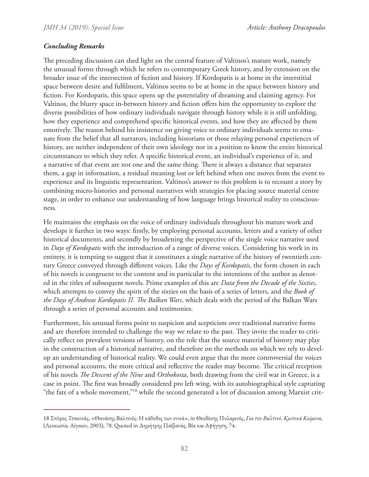### *Concluding Remarks*

The preceding discussion can shed light on the central feature of Valtinos's mature work, namely the unusual forms through which he refers to contemporary Greek history, and by extension on the broader issue of the intersection of fiction and history. If Kordopatis is at home in the interstitial space between desire and fulfilment, Valtinos seems to be at home in the space between history and fiction. For Kordopatis, this space opens up the potentiality of dreaming and claiming agency. For Valtinos, the blurry space in-between history and fiction offers him the opportunity to explore the diverse possibilities of how ordinary individuals navigate through history while it is still unfolding, how they experience and comprehend specific historical events, and how they are affected by them emotively. The reason behind his insistence on giving voice to ordinary individuals seems to emanate from the belief that all narrators, including historians or those relaying personal experiences of history, are neither independent of their own ideology nor in a position to know the entire historical circumstances to which they refer. A specific historical event, an individual's experience of it, and a narrative of that event are not one and the same thing. There is always a distance that separates them, a gap in information, a residual meaning lost or left behind when one moves from the event to experience and its linguistic representation. Valtinos's answer to this problem is to recount a story by combining micro-histories and personal narratives with strategies for placing source material centre stage, in order to enhance our understanding of how language brings historical reality to consciousness.

He maintains the emphasis on the voice of ordinary individuals throughout his mature work and develops it further in two ways: firstly, by employing personal accounts, letters and a variety of other historical documents, and secondly by broadening the perspective of the single voice narrative used in *Days of Kordopatis* with the introduction of a range of diverse voices. Considering his work in its entirety, it is tempting to suggest that it constitutes a single narrative of the history of twentieth century Greece conveyed through different voices. Like the *Days of Kordopatis*, the form chosen in each of his novels is congruent to the content and in particular to the intentions of the author as denoted in the titles of subsequent novels. Prime examples of this are *Data from the Decade of the Sixties*, which attempts to convey the spirit of the sixties on the basis of a series of letters, and the *Book of the Days of Andreas Kordopatis II. The Balkan Wars*, which deals with the period of the Balkan Wars through a series of personal accounts and testimonies.

Furthermore, his unusual forms point to suspicion and scepticism over traditional narrative forms and are therefore intended to challenge the way we relate to the past. They invite the reader to critically reflect on prevalent versions of history, on the role that the source material of history may play in the construction of a historical narrative, and therefore on the methods on which we rely to develop an understanding of historical reality. We could even argue that the more controversial the voices and personal accounts, the more critical and reflective the reader may become. The critical reception of his novels *The Descent of the Nine* and *Orthokosta*, both drawing from the civil war in Greece, is a case in point. The first was broadly considered pro left wing, with its autobiographical style capturing "the fate of a whole movement,"<sup>18</sup> while the second generated a lot of discussion among Marxist crit-

<sup>18</sup> Σπύρος Τσακνιάς, «Θανάσης Βαλτινός: Η κάθοδος των εννιά», in Θεοδόσης Πυλαρινός, *Για τον Βαλτινό. Κριτικά Κείμενα*, (Λευκωσία: Αίγαιον, 2003), 78. Quoted in Δημήτρης Παϊβανάς, Βία και Αφήγηση, 74.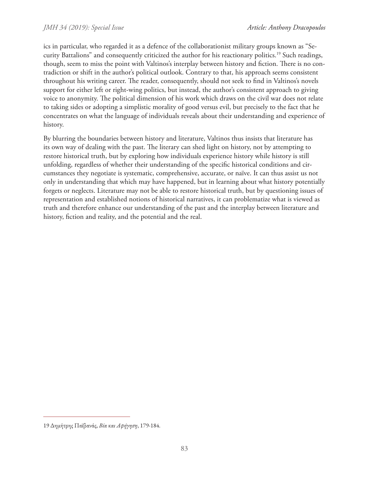ics in particular, who regarded it as a defence of the collaborationist military groups known as "Security Battalions" and consequently criticized the author for his reactionary politics.19 Such readings, though, seem to miss the point with Valtinos's interplay between history and fiction. There is no contradiction or shift in the author's political outlook. Contrary to that, his approach seems consistent throughout his writing career. The reader, consequently, should not seek to find in Valtinos's novels support for either left or right-wing politics, but instead, the author's consistent approach to giving voice to anonymity. The political dimension of his work which draws on the civil war does not relate to taking sides or adopting a simplistic morality of good versus evil, but precisely to the fact that he concentrates on what the language of individuals reveals about their understanding and experience of history.

By blurring the boundaries between history and literature, Valtinos thus insists that literature has its own way of dealing with the past. The literary can shed light on history, not by attempting to restore historical truth, but by exploring how individuals experience history while history is still unfolding, regardless of whether their understanding of the specific historical conditions and circumstances they negotiate is systematic, comprehensive, accurate, or naïve. It can thus assist us not only in understanding that which may have happened, but in learning about what history potentially forgets or neglects. Literature may not be able to restore historical truth, but by questioning issues of representation and established notions of historical narratives, it can problematize what is viewed as truth and therefore enhance our understanding of the past and the interplay between literature and history, fiction and reality, and the potential and the real.

<sup>19</sup> Δημήτρης Παϊβανάς, *Βία και Αφήγηση*, 179-184.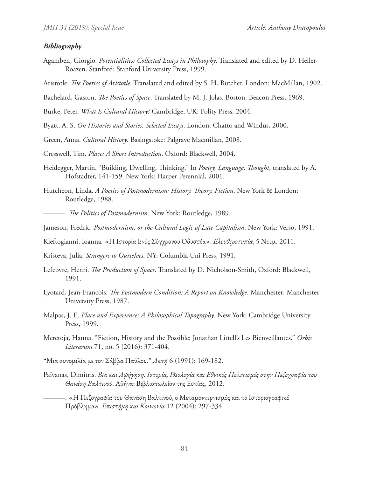#### *Bibliography*

- Agamben, Giorgio. *Potentialities: Collected Essays in Philosophy*. Translated and edited by D. Heller-Roazen. Stanford: Stanford University Press, 1999.
- Aristotle. *The Poetics of Aristotle*. Translated and edited by S. H. Butcher. London: MacMillan, 1902.
- Bachelard, Gaston. *The Poetics of Space*. Translated by M. J. Jolas. Boston: Beacon Press, 1969.
- Burke, Peter. *What Is Cultural History?* Cambridge, UK: Polity Press, 2004.
- Byatt, A. S. *On Histories and Stories: Selected Essays*. London: Chatto and Windus, 2000.
- Green, Anna. *Cultural History*. Basingstoke: Palgrave Macmillan, 2008.
- Cresswell, Tim. *Place: A Short Introduction*. Oxford: Blackwell, 2004.
- Heidegger, Martin. "Building, Dwelling, Thinking." In *Poetry, Language, Thought*, translated by A. Hofstadter, 141-159. New York: Harper Perennial, 2001.
- Hutcheon, Linda. *A Poetics of Postmodernism: History, Theory, Fiction*. New York & London: Routledge, 1988.
	- ———. *The Politics of Postmodernism*. New York: Routledge, 1989.
- Jameson, Fredric. *Postmodernism, or the Cultural Logic of Late Capitalism*. New York: Verso, 1991.
- Kleftogianni, Ioanna. «Η Ιστορία Ενός Σύγχρονου Οδυσσέα». *Ελευθεροτυπία*, 5 Νοεμ. 2011.
- Kristeva, Julia. *Strangers to Ourselves*. NY: Columbia Uni Press, 1991.
- Lefebvre, Henri. *The Production of Space*. Translated by D. Nicholson-Smith, Oxford: Blackwell, 1991.
- Lyotard, Jean-Francois. *The Postmodern Condition: A Report on Knowledge*. Manchester: Manchester University Press, 1987.
- Malpas, J. E. *Place and Experience: A Philosophical Topography*. New York: Cambridge University Press, 1999.
- Meretoja, Hanna. "Fiction, History and the Possible: Jonathan Littell's Les Bienveillantes." *Orbis Literarum* 71, no. 5 (2016): 371-404.
- "Μια συνομιλία με τον Σάββα Παύλου." *Ακτή* 6 (1991): 169-182.
- Païvanas, Dimitris. *Βία και Αφήγηση. Ιστορία, Ιδεολογία και Εθνικός Πολιτισμός στην Πεζογραφία του Θανάση Βαλτινού*. Αθήνα: Βιβλιοπωλείον της Εστίας, 2012.
- ———. «Η Πεζογραφία του Θανάση Βαλτινού, ο Μεταμοντερνισμός και το Ιστοριογραφικό Πρόβλημα». *Επιστήμη και Κοινωνία* 12 (2004): 297-334.